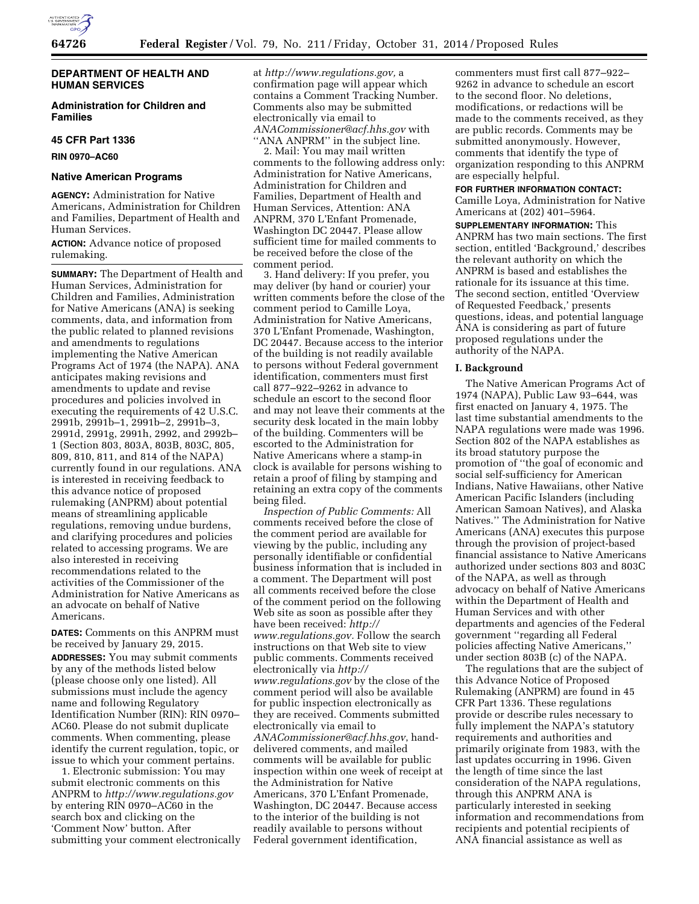

# **DEPARTMENT OF HEALTH AND HUMAN SERVICES**

# **Administration for Children and Families**

### **45 CFR Part 1336**

**RIN 0970–AC60** 

### **Native American Programs**

**AGENCY:** Administration for Native Americans, Administration for Children and Families, Department of Health and Human Services.

# **ACTION:** Advance notice of proposed rulemaking.

**SUMMARY:** The Department of Health and Human Services, Administration for Children and Families, Administration for Native Americans (ANA) is seeking comments, data, and information from the public related to planned revisions and amendments to regulations implementing the Native American Programs Act of 1974 (the NAPA). ANA anticipates making revisions and amendments to update and revise procedures and policies involved in executing the requirements of 42 U.S.C. 2991b, 2991b–1, 2991b–2, 2991b–3, 2991d, 2991g, 2991h, 2992, and 2992b– 1 (Section 803, 803A, 803B, 803C, 805, 809, 810, 811, and 814 of the NAPA) currently found in our regulations. ANA is interested in receiving feedback to this advance notice of proposed rulemaking (ANPRM) about potential means of streamlining applicable regulations, removing undue burdens, and clarifying procedures and policies related to accessing programs. We are also interested in receiving recommendations related to the activities of the Commissioner of the Administration for Native Americans as an advocate on behalf of Native Americans.

**DATES:** Comments on this ANPRM must be received by January 29, 2015.

**ADDRESSES:** You may submit comments by any of the methods listed below (please choose only one listed). All submissions must include the agency name and following Regulatory Identification Number (RIN): RIN 0970– AC60. Please do not submit duplicate comments. When commenting, please identify the current regulation, topic, or issue to which your comment pertains.

1. Electronic submission: You may submit electronic comments on this ANPRM to *<http://www.regulations.gov>*  by entering RIN 0970–AC60 in the search box and clicking on the 'Comment Now' button. After submitting your comment electronically at *[http://www.regulations.gov,](http://www.regulations.gov)* a confirmation page will appear which contains a Comment Tracking Number. Comments also may be submitted electronically via email to *[ANACommissioner@acf.hhs.gov](mailto:ANACommissioner@acf.hhs.gov)* with

''ANA ANPRM'' in the subject line. 2. Mail: You may mail written

comments to the following address only: Administration for Native Americans, Administration for Children and Families, Department of Health and Human Services, Attention: ANA ANPRM, 370 L'Enfant Promenade, Washington DC 20447. Please allow sufficient time for mailed comments to be received before the close of the comment period.

3. Hand delivery: If you prefer, you may deliver (by hand or courier) your written comments before the close of the comment period to Camille Loya, Administration for Native Americans, 370 L'Enfant Promenade, Washington, DC 20447. Because access to the interior of the building is not readily available to persons without Federal government identification, commenters must first call 877–922–9262 in advance to schedule an escort to the second floor and may not leave their comments at the security desk located in the main lobby of the building. Commenters will be escorted to the Administration for Native Americans where a stamp-in clock is available for persons wishing to retain a proof of filing by stamping and retaining an extra copy of the comments being filed.

*Inspection of Public Comments:* All comments received before the close of the comment period are available for viewing by the public, including any personally identifiable or confidential business information that is included in a comment. The Department will post all comments received before the close of the comment period on the following Web site as soon as possible after they have been received: *[http://](http://www.regulations.gov) [www.regulations.gov.](http://www.regulations.gov)* Follow the search instructions on that Web site to view public comments. Comments received electronically via *[http://](http://www.regulations.gov) [www.regulations.gov](http://www.regulations.gov)* by the close of the comment period will also be available for public inspection electronically as they are received. Comments submitted electronically via email to *[ANACommissioner@acf.hhs.gov](mailto:ANACommissioner@acf.hhs.gov)*, handdelivered comments, and mailed comments will be available for public inspection within one week of receipt at the Administration for Native Americans, 370 L'Enfant Promenade, Washington, DC 20447. Because access to the interior of the building is not readily available to persons without Federal government identification,

commenters must first call 877–922– 9262 in advance to schedule an escort to the second floor*.* No deletions, modifications, or redactions will be made to the comments received, as they are public records. Comments may be submitted anonymously. However, comments that identify the type of organization responding to this ANPRM are especially helpful.

#### **FOR FURTHER INFORMATION CONTACT:**

Camille Loya, Administration for Native Americans at (202) 401–5964.

**SUPPLEMENTARY INFORMATION:** This ANPRM has two main sections. The first section, entitled 'Background,' describes the relevant authority on which the ANPRM is based and establishes the rationale for its issuance at this time. The second section, entitled 'Overview of Requested Feedback,' presents questions, ideas, and potential language ANA is considering as part of future proposed regulations under the authority of the NAPA.

#### **I. Background**

The Native American Programs Act of 1974 (NAPA), Public Law 93–644, was first enacted on January 4, 1975. The last time substantial amendments to the NAPA regulations were made was 1996. Section 802 of the NAPA establishes as its broad statutory purpose the promotion of ''the goal of economic and social self-sufficiency for American Indians, Native Hawaiians, other Native American Pacific Islanders (including American Samoan Natives), and Alaska Natives.'' The Administration for Native Americans (ANA) executes this purpose through the provision of project-based financial assistance to Native Americans authorized under sections 803 and 803C of the NAPA, as well as through advocacy on behalf of Native Americans within the Department of Health and Human Services and with other departments and agencies of the Federal government ''regarding all Federal policies affecting Native Americans,'' under section 803B (c) of the NAPA.

The regulations that are the subject of this Advance Notice of Proposed Rulemaking (ANPRM) are found in 45 CFR Part 1336. These regulations provide or describe rules necessary to fully implement the NAPA's statutory requirements and authorities and primarily originate from 1983, with the last updates occurring in 1996. Given the length of time since the last consideration of the NAPA regulations, through this ANPRM ANA is particularly interested in seeking information and recommendations from recipients and potential recipients of ANA financial assistance as well as